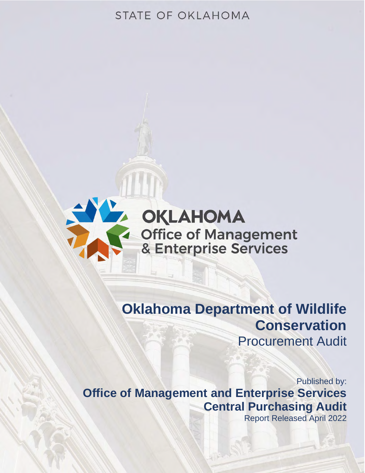# STATE OF OKLAHOMA



# **Oklahoma Department of Wildlife Conservation** Procurement Audit

Published by: **Office of Management and Enterprise Services Central Purchasing Audit**

Report Released April 2022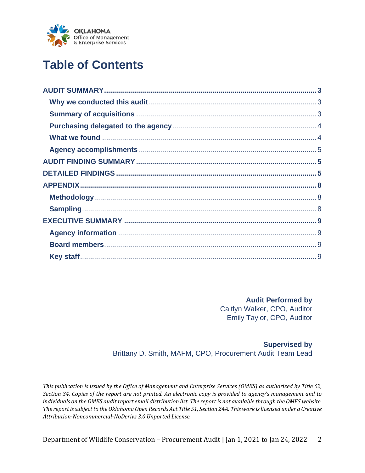

# **Table of Contents**

**Audit Performed by** Caitlyn Walker, CPO, Auditor Emily Taylor, CPO, Auditor

### **Supervised by** Brittany D. Smith, MAFM, CPO, Procurement Audit Team Lead

*This publication is issued by the Office of Management and Enterprise Services (OMES) as authorized by Title 62, Section 34. Copies of the report are not printed. An electronic copy is provided to agency's management and to individuals on the OMES audit report email distribution list. The report is not available through the OMES website. The report is subject to the Oklahoma Open Records Act Title 51, Section 24A. This work is licensed under a Creative Attribution-Noncommercial-NoDerivs 3.0 Unported License.*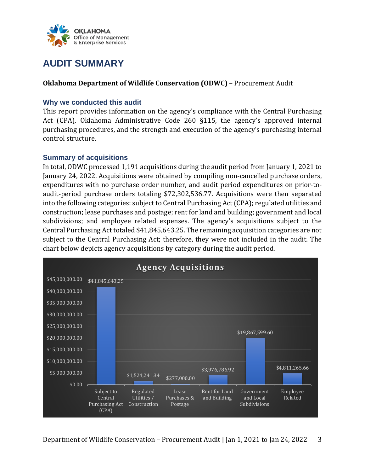

## <span id="page-2-0"></span>**AUDIT SUMMARY**

### **Oklahoma Department of Wildlife Conservation (ODWC)** – Procurement Audit

### <span id="page-2-1"></span>**Why we conducted this audit**

This report provides information on the agency's compliance with the Central Purchasing Act (CPA), Oklahoma Administrative Code 260 §115, the agency's approved internal purchasing procedures, and the strength and execution of the agency's purchasing internal control structure.

### <span id="page-2-2"></span>**Summary of acquisitions**

In total, ODWC processed 1,191 acquisitions during the audit period from January 1, 2021 to January 24, 2022. Acquisitions were obtained by compiling non-cancelled purchase orders, expenditures with no purchase order number, and audit period expenditures on prior-toaudit-period purchase orders totaling \$72,302,536.77. Acquisitions were then separated into the following categories: subject to Central Purchasing Act (CPA); regulated utilities and construction; lease purchases and postage; rent for land and building; government and local subdivisions; and employee related expenses. The agency's acquisitions subject to the Central Purchasing Act totaled \$41,845,643.25. The remaining acquisition categories are not subject to the Central Purchasing Act; therefore, they were not included in the audit. The chart below depicts agency acquisitions by category during the audit period.

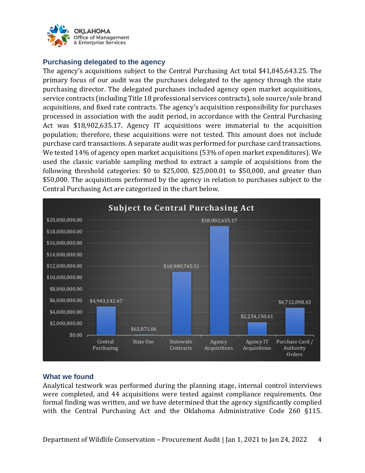

### <span id="page-3-0"></span>**Purchasing delegated to the agency**

The agency's acquisitions subject to the Central Purchasing Act total \$41,845,643.25. The primary focus of our audit was the purchases delegated to the agency through the state purchasing director. The delegated purchases included agency open market acquisitions, service contracts (including Title 18 professional services contracts), sole source/sole brand acquisitions, and fixed rate contracts. The agency's acquisition responsibility for purchases processed in association with the audit period, in accordance with the Central Purchasing Act was \$18,902,635.17. Agency IT acquisitions were immaterial to the acquisition population; therefore, these acquisitions were not tested. This amount does not include purchase card transactions. A separate audit was performed for purchase card transactions. We tested 14% of agency open market acquisitions (53% of open market expenditures). We used the classic variable sampling method to extract a sample of acquisitions from the following threshold categories: \$0 to \$25,000, \$25,000.01 to \$50,000, and greater than \$50,000. The acquisitions performed by the agency in relation to purchases subject to the Central Purchasing Act are categorized in the chart below.



### <span id="page-3-1"></span>**What we found**

Analytical testwork was performed during the planning stage, internal control interviews were completed, and 44 acquisitions were tested against compliance requirements. One formal finding was written, and we have determined that the agency significantly complied with the Central Purchasing Act and the Oklahoma Administrative Code 260 §115.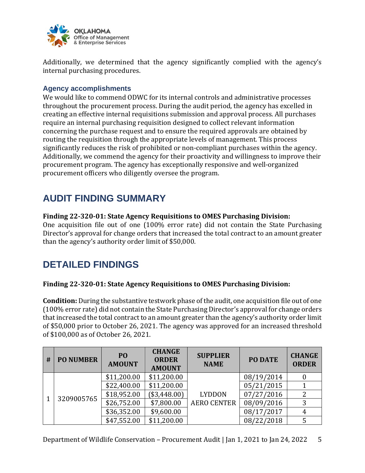

Additionally, we determined that the agency significantly complied with the agency's internal purchasing procedures.

### <span id="page-4-0"></span>**Agency accomplishments**

We would like to commend ODWC for its internal controls and administrative processes throughout the procurement process. During the audit period, the agency has excelled in creating an effective internal requisitions submission and approval process. All purchases require an internal purchasing requisition designed to collect relevant information concerning the purchase request and to ensure the required approvals are obtained by routing the requisition through the appropriate levels of management. This process significantly reduces the risk of prohibited or non-compliant purchases within the agency. Additionally, we commend the agency for their proactivity and willingness to improve their procurement program. The agency has exceptionally responsive and well-organized procurement officers who diligently oversee the program.

### <span id="page-4-1"></span>**AUDIT FINDING SUMMARY**

### **Finding 22-320-01: State Agency Requisitions to OMES Purchasing Division:**

One acquisition file out of one (100% error rate) did not contain the State Purchasing Director's approval for change orders that increased the total contract to an amount greater than the agency's authority order limit of \$50,000.

## <span id="page-4-2"></span>**DETAILED FINDINGS**

### **Finding 22-320-01: State Agency Requisitions to OMES Purchasing Division:**

**Condition:** During the substantive testwork phase of the audit, one acquisition file out of one (100% error rate) did not contain the State Purchasing Director's approval for change orders that increased the total contract to an amount greater than the agency's authority order limit of \$50,000 prior to October 26, 2021. The agency was approved for an increased threshold of \$100,000 as of October 26, 2021.

| # | <b>PO NUMBER</b> | P <sub>O</sub><br><b>AMOUNT</b> | <b>CHANGE</b><br><b>ORDER</b><br><b>AMOUNT</b> | <b>SUPPLIER</b><br><b>NAME</b> | <b>PO DATE</b> | <b>CHANGE</b><br><b>ORDER</b> |
|---|------------------|---------------------------------|------------------------------------------------|--------------------------------|----------------|-------------------------------|
|   | 3209005765       | \$11,200.00                     | \$11,200.00                                    | <b>LYDDON</b>                  | 08/19/2014     |                               |
|   |                  | \$22,400.00                     | \$11,200.00                                    |                                | 05/21/2015     |                               |
|   |                  | \$18,952.00                     | \$3,448.00                                     |                                | 07/27/2016     | 2                             |
|   |                  | \$26,752.00                     | \$7,800.00                                     | <b>AERO CENTER</b>             | 08/09/2016     | 3                             |
|   |                  | \$36,352.00                     | \$9,600.00                                     |                                | 08/17/2017     | 4                             |
|   |                  | \$47,552.00                     | \$11,200.00                                    |                                | 08/22/2018     | 5                             |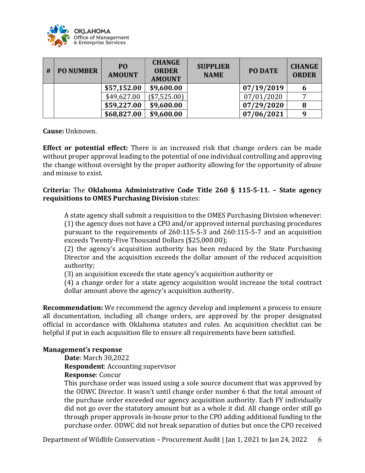

| # | <b>PO NUMBER</b> | P <sub>O</sub><br><b>AMOUNT</b> | <b>CHANGE</b><br><b>ORDER</b><br><b>AMOUNT</b> | <b>SUPPLIER</b><br><b>NAME</b> | PO DATE    | <b>CHANGE</b><br><b>ORDER</b> |
|---|------------------|---------------------------------|------------------------------------------------|--------------------------------|------------|-------------------------------|
|   |                  | \$57,152.00                     | \$9,600.00                                     |                                | 07/19/2019 | 6                             |
|   |                  | \$49,627.00                     | (\$7,525.00)                                   |                                | 07/01/2020 |                               |
|   |                  | \$59,227.00                     | \$9,600.00                                     |                                | 07/29/2020 | 8                             |
|   |                  | \$68,827.00                     | \$9,600.00                                     |                                | 07/06/2021 | 9                             |

**Cause:** Unknown.

**Effect or potential effect:** There is an increased risk that change orders can be made without proper approval leading to the potential of one individual controlling and approving the change without oversight by the proper authority allowing for the opportunity of abuse and misuse to exist.

### **Criteria:** The **Oklahoma Administrative Code Title 260 § 115-5-11. – State agency requisitions to OMES Purchasing Division** states:

A state agency shall submit a requisition to the OMES Purchasing Division whenever: (1) the agency does not have a CPO and/or approved internal purchasing procedures pursuant to the requirements of 260:115-5-3 and 260:115-5-7 and an acquisition exceeds Twenty-Five Thousand Dollars (\$25,000.00);

(2) the agency's acquisition authority has been reduced by the State Purchasing Director and the acquisition exceeds the dollar amount of the reduced acquisition authority;

(3) an acquisition exceeds the state agency's acquisition authority or

(4) a change order for a state agency acquisition would increase the total contract dollar amount above the agency's acquisition authority.

**Recommendation:** We recommend the agency develop and implement a process to ensure all documentation, including all change orders, are approved by the proper designated official in accordance with Oklahoma statutes and rules. An acquisition checklist can be helpful if put in each acquisition file to ensure all requirements have been satisfied.

### **Management's response**

**Date**: March 30,2022

**Respondent**: Accounting supervisor

#### **Response**: Concur

This purchase order was issued using a sole source document that was approved by the ODWC Director. It wasn't until change order number 6 that the total amount of the purchase order exceeded our agency acquisition authority. Each FY individually did not go over the statutory amount but as a whole it did. All change order still go through proper approvals in-house prior to the CPO adding additional funding to the purchase order. ODWC did not break separation of duties but once the CPO received

Department of Wildlife Conservation – Procurement Audit | Jan 1, 2021 to Jan 24, 2022 6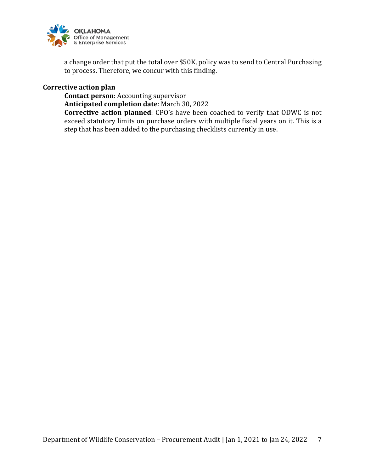

a change order that put the total over \$50K, policy was to send to Central Purchasing to process. Therefore, we concur with this finding.

**Corrective action plan**

**Contact person**: Accounting supervisor

**Anticipated completion date**: March 30, 2022

**Corrective action planned**: CPO's have been coached to verify that ODWC is not exceed statutory limits on purchase orders with multiple fiscal years on it. This is a step that has been added to the purchasing checklists currently in use.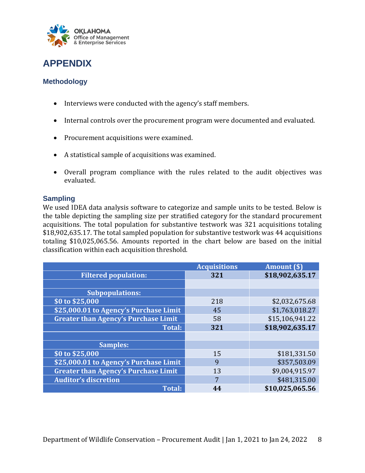

### <span id="page-7-0"></span>**APPENDIX**

### <span id="page-7-1"></span>**Methodology**

- Interviews were conducted with the agency's staff members.
- Internal controls over the procurement program were documented and evaluated.
- Procurement acquisitions were examined.
- A statistical sample of acquisitions was examined.
- Overall program compliance with the rules related to the audit objectives was evaluated.

### <span id="page-7-2"></span>**Sampling**

We used IDEA data analysis software to categorize and sample units to be tested. Below is the table depicting the sampling size per stratified category for the standard procurement acquisitions. The total population for substantive testwork was 321 acquisitions totaling \$18,902,635.17. The total sampled population for substantive testwork was 44 acquisitions totaling \$10,025,065.56. Amounts reported in the chart below are based on the initial classification within each acquisition threshold.

|                                             | <b>Acquisitions</b> | <b>Amount</b> (\$) |
|---------------------------------------------|---------------------|--------------------|
| <b>Filtered population:</b>                 | 321                 | \$18,902,635.17    |
|                                             |                     |                    |
| <b>Subpopulations:</b>                      |                     |                    |
| \$0 to \$25,000                             | 218                 | \$2,032,675.68     |
| \$25,000.01 to Agency's Purchase Limit      | 45                  | \$1,763,018.27     |
| <b>Greater than Agency's Purchase Limit</b> | 58                  | \$15,106,941.22    |
| <b>Total:</b>                               | 321                 | \$18,902,635.17    |
|                                             |                     |                    |
| <b>Samples:</b>                             |                     |                    |
| \$0 to \$25,000                             | 15                  | \$181,331.50       |
| \$25,000.01 to Agency's Purchase Limit      | 9                   | \$357,503.09       |
| <b>Greater than Agency's Purchase Limit</b> | 13                  | \$9,004,915.97     |
| <b>Auditor's discretion</b>                 |                     | \$481,315.00       |
| <b>Total:</b>                               |                     | \$10,025,065.56    |